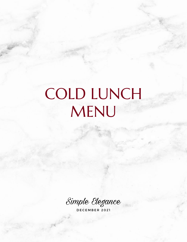# COLD LUNCH MENU

Simple Elegance

D E C E M B E R 2 0 2 1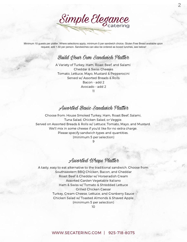Simple Elegance

2

Minimum 10 guests per platter. Where selections apply, minimum 5 per sandwich choice. Gluten Free Bread available upon request, add 1.50 per person. Sandwiches can also be ordered as boxed lunches, see below!

### Build *Hour Own Sandwich Platter*

A Variety of Turkey, Ham, Roast Beef, and Salami Cheddar & Swiss Cheeses Tomato, Lettuce, Mayo, Mustard & Pepperocini Served w/ Assorted Breads & Rolls Bacon - add 2 Avocado - add 2 11

Assorted Basic Sandwich Platter

Choose from: House Smoked Turkey, Ham, Roast Beef, Salami, Tuna Salad, Chicken Salad, or Veggie. Served on Assorted Breads & Rolls w/ Lettuce, Tomato, Mayo, and Mustard. We'll mix in some cheese if you'd like for no extra charge. Please specify sandwich types and quantities. (minimum 5 per selection)

 $\Omega$ 

## Assorted Wraps Platter

A tasty, easy to eat alternative to the traditional sandwich. Choose from: Southwestern BBQ Chicken, Bacon, and Cheddar Roast Beef & Cheddar w/ Horseradish Cream Assorted Garden Vegetable Italiano Ham & Swiss w/ Tomato & Shredded Lettuce Grilled Chicken Caesar Turkey, Cream Cheese, Lettuce, and Cranberry Sauce Chicken Salad w/ Toasted Almonds & Shaved Apple (minimum 5 per selection)

10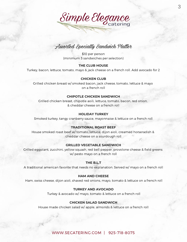

## Assorted Specialty Sandwich Platter

\$10 per person (minimum 5 sandwiches per selection)

#### **THE CLUB HOUSE**

Turkey, bacon, lettuce, tomato, mayo & jack cheese on a french roll. Add avocado for 2

#### **CHICKEN CLUB**

Grilled chicken breast w/ smoked bacon, jack cheese, tomato, lettuce & mayo on a french roll

#### **CHIPOTLE CHICKEN SANDWICH**

Grilled chicken breast, chipotle aoili, lettuce, tomato, bacon, red onion, & cheddar cheese on a french roll

#### **HOLIDAY TURKEY**

Smoked turkey, tangy cranberry sauce, mayonnaise & lettuce on a french roll

#### **TRADITIONAL ROAST BEEF**

House smoked roast beef w/ tomato, lettuce, dijon aioli, creamed horseradish & cheddar cheese on a sourdough roll

#### **GRILLED VEGETABLE SANDWICH**

Grilled eggplant, zucchini, yellow squash, red bell pepper, provolone cheese & field greens w/ pesto mayo on a french roll

#### **THE B.L.T**

A traditional american favorite that needs no explanation. Served w/ mayo on a french roll

#### **HAM AND CHEESE**

Ham, swiss cheese, dijon aioli, shaved red onions, mayo, tomato & lettuce on a french roll

#### **TURKEY AND AVOCADO**

Turkey & avocado w/ mayo, tomato & lettuce on a french roll

#### **CHICKEN SALAD SANDWICH**

House made chicken salad w/ apple, almonds & lettuce on a french roll

#### [WWW.SECATERING.COM](http://www.secatering.com/) | 925-718-8075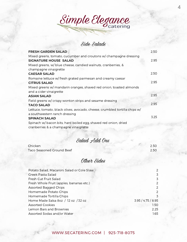Simple Elegance

## Side Salads

| <b>FRESH GARDEN SALAD</b>                                                  | 2.50 |
|----------------------------------------------------------------------------|------|
| Mixed greens, tomato, cucumber and croutons w/ champagne dressing          |      |
| <b>SIGNATURE HOUSE SALAD</b>                                               | 2.95 |
| Mixed greens, w/ blue cheese, candied walnuts, cranberries, &              |      |
| champagne vinaigrette                                                      |      |
| <b>CAESAR SALAD</b>                                                        | 2.50 |
| Romaine lettuce w/ fresh grated parmesan and creamy caesar                 |      |
| <b>CITRUS SALAD</b>                                                        | 2.95 |
| Mixed greens w/ mandarin oranges, shaved red onion, toasted almonds        |      |
| and a cider vinaigrette                                                    |      |
| <b>ASIAN SALAD</b>                                                         | 2.95 |
| Field greens w/ crispy wonton strips and sesame dressing                   |      |
| <b>TACO SALAD</b>                                                          | 2.95 |
| Lettuce, tomato, black olives, avocado, cheese, crumbled tortilla chips w/ |      |
| a southwestern ranch dressing                                              |      |
| <b>SPINACH SALAD</b>                                                       | 3.25 |
| Spinach w/ bacon bits, hard boiled egg, shaved red onion, dried            |      |
| cranberries & a champagne vinaigrette                                      |      |

# Salad Add Ons

| Chicken                   | 2.50  |
|---------------------------|-------|
| Taco Seasoned Ground Beef | 2.50. |

# Other Sides

| Potato Salad, Macaroni Salad or Cole Slaw |                    |
|-------------------------------------------|--------------------|
| Greek Pasta Salad                         | 3                  |
| Fresh Cut Fruit Salad                     | 3                  |
| Fresh Whole Fruit (apples, bananas etc.)  | 2                  |
| <b>Assorted Bagged Chips</b>              |                    |
| Homemade Potato Chips                     | 2                  |
| Homemade Tortilla Chips                   | 3                  |
| Home Made Salsa 8oz / 12 oz / 32 oz       | 3.95 / 4.75 / 8.95 |
| <b>Assorted Cookies</b>                   | 1.50               |
| Lemon Bars and Brownies                   | 2.25               |
| Assorted Sodas and/or Water               | 1.65               |
|                                           |                    |